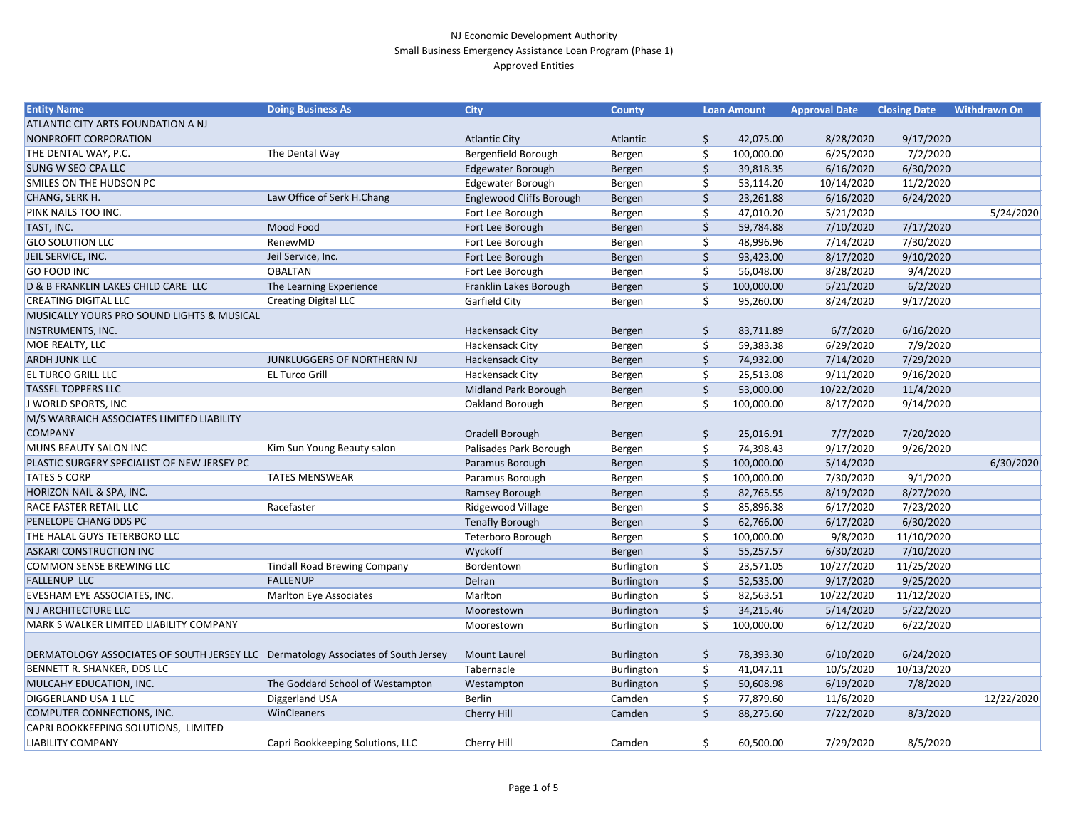| 9/17/2020<br><b>Atlantic City</b><br>42,075.00<br>8/28/2020<br>Atlantic<br>Ş<br>The Dental Way<br>7/2/2020<br>Bergenfield Borough<br>100,000.00<br>6/25/2020<br>Bergen<br>6/16/2020<br>6/30/2020<br><b>Edgewater Borough</b><br>Bergen<br>39,818.35<br><b>Edgewater Borough</b><br>10/14/2020<br>53,114.20<br>11/2/2020<br>Bergen<br>Law Office of Serk H.Chang<br>Englewood Cliffs Borough<br>23,261.88<br>6/16/2020<br>6/24/2020<br>Bergen<br>Fort Lee Borough<br>Ś.<br>5/21/2020<br>5/24/2020<br>Bergen<br>47,010.20<br>Mood Food<br>7/17/2020<br>59,784.88<br>7/10/2020<br>Fort Lee Borough<br>Bergen<br>RenewMD<br>7/14/2020<br>7/30/2020<br>Fort Lee Borough<br>48,996.96<br>Bergen<br>Jeil Service, Inc.<br>\$<br>9/10/2020<br>Fort Lee Borough<br>8/17/2020<br>Bergen<br>93,423.00<br><b>OBALTAN</b><br>8/28/2020<br>9/4/2020<br>Fort Lee Borough<br>56,048.00<br>Bergen<br>Franklin Lakes Borough<br>The Learning Experience<br>100,000.00<br>5/21/2020<br>6/2/2020<br>Bergen<br><b>Creating Digital LLC</b><br>9/17/2020<br>Garfield City<br>\$<br>8/24/2020<br>95,260.00<br>Bergen<br>6/16/2020<br>Hackensack City<br>\$<br>83,711.89<br>6/7/2020<br>Bergen<br>7/9/2020<br>Hackensack City<br>59,383.38<br>6/29/2020<br>Bergen<br>JUNKLUGGERS OF NORTHERN NJ<br>\$<br><b>Hackensack City</b><br>74,932.00<br>7/14/2020<br>7/29/2020<br>Bergen<br><b>EL Turco Grill</b><br>Hackensack City<br>9/11/2020<br>9/16/2020<br>25,513.08<br>Bergen<br>Midland Park Borough<br>\$<br>Bergen<br>53,000.00<br>10/22/2020<br>11/4/2020<br>J WORLD SPORTS, INC<br>Oakland Borough<br>Ś.<br>8/17/2020<br>9/14/2020<br>100,000.00<br>Bergen<br>\$<br>7/7/2020<br>7/20/2020<br>Oradell Borough<br>25,016.91<br>Bergen<br>Kim Sun Young Beauty salon<br>Palisades Park Borough<br>9/26/2020<br>S<br>74,398.43<br>9/17/2020<br>Bergen<br>\$<br>6/30/2020<br>Paramus Borough<br>Bergen<br>100,000.00<br>5/14/2020<br>9/1/2020<br><b>TATES MENSWEAR</b><br>Paramus Borough<br>100,000.00<br>7/30/2020<br>Bergen<br>Ramsey Borough<br>8/19/2020<br>8/27/2020<br>Bergen<br>82,765.55<br>Racefaster<br>6/17/2020<br>7/23/2020<br>Ridgewood Village<br>85,896.38<br>Bergen<br><b>Tenafly Borough</b><br>\$<br>6/17/2020<br>6/30/2020<br>Bergen<br>62,766.00<br>11/10/2020<br>9/8/2020<br>Teterboro Borough<br>100,000.00<br>Bergen<br>Wyckoff<br>7/10/2020<br>55,257.57<br>6/30/2020<br>Bergen<br>\$<br><b>Tindall Road Brewing Company</b><br>Burlington<br>10/27/2020<br>11/25/2020<br>Bordentown<br>23,571.05<br><b>FALLENUP</b><br>Delran<br>Burlington<br>\$<br>52,535.00<br>9/25/2020<br>9/17/2020<br><b>Marlton Eye Associates</b><br>Marlton<br>Burlington<br>10/22/2020<br>11/12/2020<br>82,563.51<br>Burlington<br>\$<br>34,215.46<br>5/14/2020<br>5/22/2020<br>Moorestown<br>\$.<br>100,000.00<br>6/12/2020<br>6/22/2020<br>Moorestown<br>Burlington<br>DERMATOLOGY ASSOCIATES OF SOUTH JERSEY LLC Dermatology Associates of South Jersey<br><b>Mount Laurel</b><br>Burlington<br>78,393.30<br>6/10/2020<br>6/24/2020<br>\$<br>Tabernacle<br>\$<br>10/13/2020<br>Burlington<br>41,047.11<br>10/5/2020<br>The Goddard School of Westampton<br>6/19/2020<br>Westampton<br>Burlington<br>\$<br>50,608.98<br>7/8/2020<br>Diggerland USA<br>Berlin<br>11/6/2020<br>12/22/2020<br>Camden<br>\$<br>77,879.60<br>WinCleaners<br>Cherry Hill<br>\$<br>8/3/2020<br>Camden<br>88,275.60<br>7/22/2020<br>Capri Bookkeeping Solutions, LLC<br>7/29/2020 | <b>Entity Name</b>                          | <b>Doing Business As</b> | <b>City</b> | <b>County</b> | <b>Loan Amount</b> | <b>Approval Date</b> | <b>Closing Date</b> | <b>Withdrawn On</b> |
|------------------------------------------------------------------------------------------------------------------------------------------------------------------------------------------------------------------------------------------------------------------------------------------------------------------------------------------------------------------------------------------------------------------------------------------------------------------------------------------------------------------------------------------------------------------------------------------------------------------------------------------------------------------------------------------------------------------------------------------------------------------------------------------------------------------------------------------------------------------------------------------------------------------------------------------------------------------------------------------------------------------------------------------------------------------------------------------------------------------------------------------------------------------------------------------------------------------------------------------------------------------------------------------------------------------------------------------------------------------------------------------------------------------------------------------------------------------------------------------------------------------------------------------------------------------------------------------------------------------------------------------------------------------------------------------------------------------------------------------------------------------------------------------------------------------------------------------------------------------------------------------------------------------------------------------------------------------------------------------------------------------------------------------------------------------------------------------------------------------------------------------------------------------------------------------------------------------------------------------------------------------------------------------------------------------------------------------------------------------------------------------------------------------------------------------------------------------------------------------------------------------------------------------------------------------------------------------------------------------------------------------------------------------------------------------------------------------------------------------------------------------------------------------------------------------------------------------------------------------------------------------------------------------------------------------------------------------------------------------------------------------------------------------------------------------------------------------------------------------------------------------------------------------------------------------------------------------------------------------------------------------------------------------------------------------------------------------------------------------------------------------------------------------------------------------|---------------------------------------------|--------------------------|-------------|---------------|--------------------|----------------------|---------------------|---------------------|
|                                                                                                                                                                                                                                                                                                                                                                                                                                                                                                                                                                                                                                                                                                                                                                                                                                                                                                                                                                                                                                                                                                                                                                                                                                                                                                                                                                                                                                                                                                                                                                                                                                                                                                                                                                                                                                                                                                                                                                                                                                                                                                                                                                                                                                                                                                                                                                                                                                                                                                                                                                                                                                                                                                                                                                                                                                                                                                                                                                                                                                                                                                                                                                                                                                                                                                                                                                                                                                          | <b>ATLANTIC CITY ARTS FOUNDATION A NJ</b>   |                          |             |               |                    |                      |                     |                     |
|                                                                                                                                                                                                                                                                                                                                                                                                                                                                                                                                                                                                                                                                                                                                                                                                                                                                                                                                                                                                                                                                                                                                                                                                                                                                                                                                                                                                                                                                                                                                                                                                                                                                                                                                                                                                                                                                                                                                                                                                                                                                                                                                                                                                                                                                                                                                                                                                                                                                                                                                                                                                                                                                                                                                                                                                                                                                                                                                                                                                                                                                                                                                                                                                                                                                                                                                                                                                                                          | <b>NONPROFIT CORPORATION</b>                |                          |             |               |                    |                      |                     |                     |
|                                                                                                                                                                                                                                                                                                                                                                                                                                                                                                                                                                                                                                                                                                                                                                                                                                                                                                                                                                                                                                                                                                                                                                                                                                                                                                                                                                                                                                                                                                                                                                                                                                                                                                                                                                                                                                                                                                                                                                                                                                                                                                                                                                                                                                                                                                                                                                                                                                                                                                                                                                                                                                                                                                                                                                                                                                                                                                                                                                                                                                                                                                                                                                                                                                                                                                                                                                                                                                          | THE DENTAL WAY, P.C.                        |                          |             |               |                    |                      |                     |                     |
|                                                                                                                                                                                                                                                                                                                                                                                                                                                                                                                                                                                                                                                                                                                                                                                                                                                                                                                                                                                                                                                                                                                                                                                                                                                                                                                                                                                                                                                                                                                                                                                                                                                                                                                                                                                                                                                                                                                                                                                                                                                                                                                                                                                                                                                                                                                                                                                                                                                                                                                                                                                                                                                                                                                                                                                                                                                                                                                                                                                                                                                                                                                                                                                                                                                                                                                                                                                                                                          | <b>SUNG W SEO CPA LLC</b>                   |                          |             |               |                    |                      |                     |                     |
|                                                                                                                                                                                                                                                                                                                                                                                                                                                                                                                                                                                                                                                                                                                                                                                                                                                                                                                                                                                                                                                                                                                                                                                                                                                                                                                                                                                                                                                                                                                                                                                                                                                                                                                                                                                                                                                                                                                                                                                                                                                                                                                                                                                                                                                                                                                                                                                                                                                                                                                                                                                                                                                                                                                                                                                                                                                                                                                                                                                                                                                                                                                                                                                                                                                                                                                                                                                                                                          | <b>SMILES ON THE HUDSON PC</b>              |                          |             |               |                    |                      |                     |                     |
|                                                                                                                                                                                                                                                                                                                                                                                                                                                                                                                                                                                                                                                                                                                                                                                                                                                                                                                                                                                                                                                                                                                                                                                                                                                                                                                                                                                                                                                                                                                                                                                                                                                                                                                                                                                                                                                                                                                                                                                                                                                                                                                                                                                                                                                                                                                                                                                                                                                                                                                                                                                                                                                                                                                                                                                                                                                                                                                                                                                                                                                                                                                                                                                                                                                                                                                                                                                                                                          | CHANG, SERK H.                              |                          |             |               |                    |                      |                     |                     |
|                                                                                                                                                                                                                                                                                                                                                                                                                                                                                                                                                                                                                                                                                                                                                                                                                                                                                                                                                                                                                                                                                                                                                                                                                                                                                                                                                                                                                                                                                                                                                                                                                                                                                                                                                                                                                                                                                                                                                                                                                                                                                                                                                                                                                                                                                                                                                                                                                                                                                                                                                                                                                                                                                                                                                                                                                                                                                                                                                                                                                                                                                                                                                                                                                                                                                                                                                                                                                                          | PINK NAILS TOO INC.                         |                          |             |               |                    |                      |                     |                     |
|                                                                                                                                                                                                                                                                                                                                                                                                                                                                                                                                                                                                                                                                                                                                                                                                                                                                                                                                                                                                                                                                                                                                                                                                                                                                                                                                                                                                                                                                                                                                                                                                                                                                                                                                                                                                                                                                                                                                                                                                                                                                                                                                                                                                                                                                                                                                                                                                                                                                                                                                                                                                                                                                                                                                                                                                                                                                                                                                                                                                                                                                                                                                                                                                                                                                                                                                                                                                                                          | TAST, INC.                                  |                          |             |               |                    |                      |                     |                     |
|                                                                                                                                                                                                                                                                                                                                                                                                                                                                                                                                                                                                                                                                                                                                                                                                                                                                                                                                                                                                                                                                                                                                                                                                                                                                                                                                                                                                                                                                                                                                                                                                                                                                                                                                                                                                                                                                                                                                                                                                                                                                                                                                                                                                                                                                                                                                                                                                                                                                                                                                                                                                                                                                                                                                                                                                                                                                                                                                                                                                                                                                                                                                                                                                                                                                                                                                                                                                                                          | <b>GLO SOLUTION LLC</b>                     |                          |             |               |                    |                      |                     |                     |
|                                                                                                                                                                                                                                                                                                                                                                                                                                                                                                                                                                                                                                                                                                                                                                                                                                                                                                                                                                                                                                                                                                                                                                                                                                                                                                                                                                                                                                                                                                                                                                                                                                                                                                                                                                                                                                                                                                                                                                                                                                                                                                                                                                                                                                                                                                                                                                                                                                                                                                                                                                                                                                                                                                                                                                                                                                                                                                                                                                                                                                                                                                                                                                                                                                                                                                                                                                                                                                          | JEIL SERVICE, INC.                          |                          |             |               |                    |                      |                     |                     |
|                                                                                                                                                                                                                                                                                                                                                                                                                                                                                                                                                                                                                                                                                                                                                                                                                                                                                                                                                                                                                                                                                                                                                                                                                                                                                                                                                                                                                                                                                                                                                                                                                                                                                                                                                                                                                                                                                                                                                                                                                                                                                                                                                                                                                                                                                                                                                                                                                                                                                                                                                                                                                                                                                                                                                                                                                                                                                                                                                                                                                                                                                                                                                                                                                                                                                                                                                                                                                                          | <b>GO FOOD INC</b>                          |                          |             |               |                    |                      |                     |                     |
|                                                                                                                                                                                                                                                                                                                                                                                                                                                                                                                                                                                                                                                                                                                                                                                                                                                                                                                                                                                                                                                                                                                                                                                                                                                                                                                                                                                                                                                                                                                                                                                                                                                                                                                                                                                                                                                                                                                                                                                                                                                                                                                                                                                                                                                                                                                                                                                                                                                                                                                                                                                                                                                                                                                                                                                                                                                                                                                                                                                                                                                                                                                                                                                                                                                                                                                                                                                                                                          | D & B FRANKLIN LAKES CHILD CARE LLC         |                          |             |               |                    |                      |                     |                     |
|                                                                                                                                                                                                                                                                                                                                                                                                                                                                                                                                                                                                                                                                                                                                                                                                                                                                                                                                                                                                                                                                                                                                                                                                                                                                                                                                                                                                                                                                                                                                                                                                                                                                                                                                                                                                                                                                                                                                                                                                                                                                                                                                                                                                                                                                                                                                                                                                                                                                                                                                                                                                                                                                                                                                                                                                                                                                                                                                                                                                                                                                                                                                                                                                                                                                                                                                                                                                                                          | <b>CREATING DIGITAL LLC</b>                 |                          |             |               |                    |                      |                     |                     |
|                                                                                                                                                                                                                                                                                                                                                                                                                                                                                                                                                                                                                                                                                                                                                                                                                                                                                                                                                                                                                                                                                                                                                                                                                                                                                                                                                                                                                                                                                                                                                                                                                                                                                                                                                                                                                                                                                                                                                                                                                                                                                                                                                                                                                                                                                                                                                                                                                                                                                                                                                                                                                                                                                                                                                                                                                                                                                                                                                                                                                                                                                                                                                                                                                                                                                                                                                                                                                                          | MUSICALLY YOURS PRO SOUND LIGHTS & MUSICAL  |                          |             |               |                    |                      |                     |                     |
|                                                                                                                                                                                                                                                                                                                                                                                                                                                                                                                                                                                                                                                                                                                                                                                                                                                                                                                                                                                                                                                                                                                                                                                                                                                                                                                                                                                                                                                                                                                                                                                                                                                                                                                                                                                                                                                                                                                                                                                                                                                                                                                                                                                                                                                                                                                                                                                                                                                                                                                                                                                                                                                                                                                                                                                                                                                                                                                                                                                                                                                                                                                                                                                                                                                                                                                                                                                                                                          | <b>INSTRUMENTS, INC.</b>                    |                          |             |               |                    |                      |                     |                     |
|                                                                                                                                                                                                                                                                                                                                                                                                                                                                                                                                                                                                                                                                                                                                                                                                                                                                                                                                                                                                                                                                                                                                                                                                                                                                                                                                                                                                                                                                                                                                                                                                                                                                                                                                                                                                                                                                                                                                                                                                                                                                                                                                                                                                                                                                                                                                                                                                                                                                                                                                                                                                                                                                                                                                                                                                                                                                                                                                                                                                                                                                                                                                                                                                                                                                                                                                                                                                                                          | MOE REALTY, LLC                             |                          |             |               |                    |                      |                     |                     |
|                                                                                                                                                                                                                                                                                                                                                                                                                                                                                                                                                                                                                                                                                                                                                                                                                                                                                                                                                                                                                                                                                                                                                                                                                                                                                                                                                                                                                                                                                                                                                                                                                                                                                                                                                                                                                                                                                                                                                                                                                                                                                                                                                                                                                                                                                                                                                                                                                                                                                                                                                                                                                                                                                                                                                                                                                                                                                                                                                                                                                                                                                                                                                                                                                                                                                                                                                                                                                                          | <b>ARDH JUNK LLC</b>                        |                          |             |               |                    |                      |                     |                     |
|                                                                                                                                                                                                                                                                                                                                                                                                                                                                                                                                                                                                                                                                                                                                                                                                                                                                                                                                                                                                                                                                                                                                                                                                                                                                                                                                                                                                                                                                                                                                                                                                                                                                                                                                                                                                                                                                                                                                                                                                                                                                                                                                                                                                                                                                                                                                                                                                                                                                                                                                                                                                                                                                                                                                                                                                                                                                                                                                                                                                                                                                                                                                                                                                                                                                                                                                                                                                                                          | EL TURCO GRILL LLC                          |                          |             |               |                    |                      |                     |                     |
|                                                                                                                                                                                                                                                                                                                                                                                                                                                                                                                                                                                                                                                                                                                                                                                                                                                                                                                                                                                                                                                                                                                                                                                                                                                                                                                                                                                                                                                                                                                                                                                                                                                                                                                                                                                                                                                                                                                                                                                                                                                                                                                                                                                                                                                                                                                                                                                                                                                                                                                                                                                                                                                                                                                                                                                                                                                                                                                                                                                                                                                                                                                                                                                                                                                                                                                                                                                                                                          | <b>TASSEL TOPPERS LLC</b>                   |                          |             |               |                    |                      |                     |                     |
|                                                                                                                                                                                                                                                                                                                                                                                                                                                                                                                                                                                                                                                                                                                                                                                                                                                                                                                                                                                                                                                                                                                                                                                                                                                                                                                                                                                                                                                                                                                                                                                                                                                                                                                                                                                                                                                                                                                                                                                                                                                                                                                                                                                                                                                                                                                                                                                                                                                                                                                                                                                                                                                                                                                                                                                                                                                                                                                                                                                                                                                                                                                                                                                                                                                                                                                                                                                                                                          |                                             |                          |             |               |                    |                      |                     |                     |
|                                                                                                                                                                                                                                                                                                                                                                                                                                                                                                                                                                                                                                                                                                                                                                                                                                                                                                                                                                                                                                                                                                                                                                                                                                                                                                                                                                                                                                                                                                                                                                                                                                                                                                                                                                                                                                                                                                                                                                                                                                                                                                                                                                                                                                                                                                                                                                                                                                                                                                                                                                                                                                                                                                                                                                                                                                                                                                                                                                                                                                                                                                                                                                                                                                                                                                                                                                                                                                          | M/S WARRAICH ASSOCIATES LIMITED LIABILITY   |                          |             |               |                    |                      |                     |                     |
|                                                                                                                                                                                                                                                                                                                                                                                                                                                                                                                                                                                                                                                                                                                                                                                                                                                                                                                                                                                                                                                                                                                                                                                                                                                                                                                                                                                                                                                                                                                                                                                                                                                                                                                                                                                                                                                                                                                                                                                                                                                                                                                                                                                                                                                                                                                                                                                                                                                                                                                                                                                                                                                                                                                                                                                                                                                                                                                                                                                                                                                                                                                                                                                                                                                                                                                                                                                                                                          | <b>COMPANY</b>                              |                          |             |               |                    |                      |                     |                     |
|                                                                                                                                                                                                                                                                                                                                                                                                                                                                                                                                                                                                                                                                                                                                                                                                                                                                                                                                                                                                                                                                                                                                                                                                                                                                                                                                                                                                                                                                                                                                                                                                                                                                                                                                                                                                                                                                                                                                                                                                                                                                                                                                                                                                                                                                                                                                                                                                                                                                                                                                                                                                                                                                                                                                                                                                                                                                                                                                                                                                                                                                                                                                                                                                                                                                                                                                                                                                                                          | MUNS BEAUTY SALON INC                       |                          |             |               |                    |                      |                     |                     |
|                                                                                                                                                                                                                                                                                                                                                                                                                                                                                                                                                                                                                                                                                                                                                                                                                                                                                                                                                                                                                                                                                                                                                                                                                                                                                                                                                                                                                                                                                                                                                                                                                                                                                                                                                                                                                                                                                                                                                                                                                                                                                                                                                                                                                                                                                                                                                                                                                                                                                                                                                                                                                                                                                                                                                                                                                                                                                                                                                                                                                                                                                                                                                                                                                                                                                                                                                                                                                                          | PLASTIC SURGERY SPECIALIST OF NEW JERSEY PC |                          |             |               |                    |                      |                     |                     |
|                                                                                                                                                                                                                                                                                                                                                                                                                                                                                                                                                                                                                                                                                                                                                                                                                                                                                                                                                                                                                                                                                                                                                                                                                                                                                                                                                                                                                                                                                                                                                                                                                                                                                                                                                                                                                                                                                                                                                                                                                                                                                                                                                                                                                                                                                                                                                                                                                                                                                                                                                                                                                                                                                                                                                                                                                                                                                                                                                                                                                                                                                                                                                                                                                                                                                                                                                                                                                                          | <b>TATES 5 CORP</b>                         |                          |             |               |                    |                      |                     |                     |
|                                                                                                                                                                                                                                                                                                                                                                                                                                                                                                                                                                                                                                                                                                                                                                                                                                                                                                                                                                                                                                                                                                                                                                                                                                                                                                                                                                                                                                                                                                                                                                                                                                                                                                                                                                                                                                                                                                                                                                                                                                                                                                                                                                                                                                                                                                                                                                                                                                                                                                                                                                                                                                                                                                                                                                                                                                                                                                                                                                                                                                                                                                                                                                                                                                                                                                                                                                                                                                          | HORIZON NAIL & SPA, INC.                    |                          |             |               |                    |                      |                     |                     |
|                                                                                                                                                                                                                                                                                                                                                                                                                                                                                                                                                                                                                                                                                                                                                                                                                                                                                                                                                                                                                                                                                                                                                                                                                                                                                                                                                                                                                                                                                                                                                                                                                                                                                                                                                                                                                                                                                                                                                                                                                                                                                                                                                                                                                                                                                                                                                                                                                                                                                                                                                                                                                                                                                                                                                                                                                                                                                                                                                                                                                                                                                                                                                                                                                                                                                                                                                                                                                                          | <b>RACE FASTER RETAIL LLC</b>               |                          |             |               |                    |                      |                     |                     |
|                                                                                                                                                                                                                                                                                                                                                                                                                                                                                                                                                                                                                                                                                                                                                                                                                                                                                                                                                                                                                                                                                                                                                                                                                                                                                                                                                                                                                                                                                                                                                                                                                                                                                                                                                                                                                                                                                                                                                                                                                                                                                                                                                                                                                                                                                                                                                                                                                                                                                                                                                                                                                                                                                                                                                                                                                                                                                                                                                                                                                                                                                                                                                                                                                                                                                                                                                                                                                                          | PENELOPE CHANG DDS PC                       |                          |             |               |                    |                      |                     |                     |
|                                                                                                                                                                                                                                                                                                                                                                                                                                                                                                                                                                                                                                                                                                                                                                                                                                                                                                                                                                                                                                                                                                                                                                                                                                                                                                                                                                                                                                                                                                                                                                                                                                                                                                                                                                                                                                                                                                                                                                                                                                                                                                                                                                                                                                                                                                                                                                                                                                                                                                                                                                                                                                                                                                                                                                                                                                                                                                                                                                                                                                                                                                                                                                                                                                                                                                                                                                                                                                          | THE HALAL GUYS TETERBORO LLC                |                          |             |               |                    |                      |                     |                     |
|                                                                                                                                                                                                                                                                                                                                                                                                                                                                                                                                                                                                                                                                                                                                                                                                                                                                                                                                                                                                                                                                                                                                                                                                                                                                                                                                                                                                                                                                                                                                                                                                                                                                                                                                                                                                                                                                                                                                                                                                                                                                                                                                                                                                                                                                                                                                                                                                                                                                                                                                                                                                                                                                                                                                                                                                                                                                                                                                                                                                                                                                                                                                                                                                                                                                                                                                                                                                                                          | <b>ASKARI CONSTRUCTION INC</b>              |                          |             |               |                    |                      |                     |                     |
|                                                                                                                                                                                                                                                                                                                                                                                                                                                                                                                                                                                                                                                                                                                                                                                                                                                                                                                                                                                                                                                                                                                                                                                                                                                                                                                                                                                                                                                                                                                                                                                                                                                                                                                                                                                                                                                                                                                                                                                                                                                                                                                                                                                                                                                                                                                                                                                                                                                                                                                                                                                                                                                                                                                                                                                                                                                                                                                                                                                                                                                                                                                                                                                                                                                                                                                                                                                                                                          | COMMON SENSE BREWING LLC                    |                          |             |               |                    |                      |                     |                     |
|                                                                                                                                                                                                                                                                                                                                                                                                                                                                                                                                                                                                                                                                                                                                                                                                                                                                                                                                                                                                                                                                                                                                                                                                                                                                                                                                                                                                                                                                                                                                                                                                                                                                                                                                                                                                                                                                                                                                                                                                                                                                                                                                                                                                                                                                                                                                                                                                                                                                                                                                                                                                                                                                                                                                                                                                                                                                                                                                                                                                                                                                                                                                                                                                                                                                                                                                                                                                                                          | <b>FALLENUP LLC</b>                         |                          |             |               |                    |                      |                     |                     |
|                                                                                                                                                                                                                                                                                                                                                                                                                                                                                                                                                                                                                                                                                                                                                                                                                                                                                                                                                                                                                                                                                                                                                                                                                                                                                                                                                                                                                                                                                                                                                                                                                                                                                                                                                                                                                                                                                                                                                                                                                                                                                                                                                                                                                                                                                                                                                                                                                                                                                                                                                                                                                                                                                                                                                                                                                                                                                                                                                                                                                                                                                                                                                                                                                                                                                                                                                                                                                                          | EVESHAM EYE ASSOCIATES, INC.                |                          |             |               |                    |                      |                     |                     |
|                                                                                                                                                                                                                                                                                                                                                                                                                                                                                                                                                                                                                                                                                                                                                                                                                                                                                                                                                                                                                                                                                                                                                                                                                                                                                                                                                                                                                                                                                                                                                                                                                                                                                                                                                                                                                                                                                                                                                                                                                                                                                                                                                                                                                                                                                                                                                                                                                                                                                                                                                                                                                                                                                                                                                                                                                                                                                                                                                                                                                                                                                                                                                                                                                                                                                                                                                                                                                                          | N J ARCHITECTURE LLC                        |                          |             |               |                    |                      |                     |                     |
|                                                                                                                                                                                                                                                                                                                                                                                                                                                                                                                                                                                                                                                                                                                                                                                                                                                                                                                                                                                                                                                                                                                                                                                                                                                                                                                                                                                                                                                                                                                                                                                                                                                                                                                                                                                                                                                                                                                                                                                                                                                                                                                                                                                                                                                                                                                                                                                                                                                                                                                                                                                                                                                                                                                                                                                                                                                                                                                                                                                                                                                                                                                                                                                                                                                                                                                                                                                                                                          | MARK S WALKER LIMITED LIABILITY COMPANY     |                          |             |               |                    |                      |                     |                     |
|                                                                                                                                                                                                                                                                                                                                                                                                                                                                                                                                                                                                                                                                                                                                                                                                                                                                                                                                                                                                                                                                                                                                                                                                                                                                                                                                                                                                                                                                                                                                                                                                                                                                                                                                                                                                                                                                                                                                                                                                                                                                                                                                                                                                                                                                                                                                                                                                                                                                                                                                                                                                                                                                                                                                                                                                                                                                                                                                                                                                                                                                                                                                                                                                                                                                                                                                                                                                                                          |                                             |                          |             |               |                    |                      |                     |                     |
|                                                                                                                                                                                                                                                                                                                                                                                                                                                                                                                                                                                                                                                                                                                                                                                                                                                                                                                                                                                                                                                                                                                                                                                                                                                                                                                                                                                                                                                                                                                                                                                                                                                                                                                                                                                                                                                                                                                                                                                                                                                                                                                                                                                                                                                                                                                                                                                                                                                                                                                                                                                                                                                                                                                                                                                                                                                                                                                                                                                                                                                                                                                                                                                                                                                                                                                                                                                                                                          |                                             |                          |             |               |                    |                      |                     |                     |
|                                                                                                                                                                                                                                                                                                                                                                                                                                                                                                                                                                                                                                                                                                                                                                                                                                                                                                                                                                                                                                                                                                                                                                                                                                                                                                                                                                                                                                                                                                                                                                                                                                                                                                                                                                                                                                                                                                                                                                                                                                                                                                                                                                                                                                                                                                                                                                                                                                                                                                                                                                                                                                                                                                                                                                                                                                                                                                                                                                                                                                                                                                                                                                                                                                                                                                                                                                                                                                          | BENNETT R. SHANKER, DDS LLC                 |                          |             |               |                    |                      |                     |                     |
|                                                                                                                                                                                                                                                                                                                                                                                                                                                                                                                                                                                                                                                                                                                                                                                                                                                                                                                                                                                                                                                                                                                                                                                                                                                                                                                                                                                                                                                                                                                                                                                                                                                                                                                                                                                                                                                                                                                                                                                                                                                                                                                                                                                                                                                                                                                                                                                                                                                                                                                                                                                                                                                                                                                                                                                                                                                                                                                                                                                                                                                                                                                                                                                                                                                                                                                                                                                                                                          | MULCAHY EDUCATION, INC.                     |                          |             |               |                    |                      |                     |                     |
|                                                                                                                                                                                                                                                                                                                                                                                                                                                                                                                                                                                                                                                                                                                                                                                                                                                                                                                                                                                                                                                                                                                                                                                                                                                                                                                                                                                                                                                                                                                                                                                                                                                                                                                                                                                                                                                                                                                                                                                                                                                                                                                                                                                                                                                                                                                                                                                                                                                                                                                                                                                                                                                                                                                                                                                                                                                                                                                                                                                                                                                                                                                                                                                                                                                                                                                                                                                                                                          | <b>DIGGERLAND USA 1 LLC</b>                 |                          |             |               |                    |                      |                     |                     |
|                                                                                                                                                                                                                                                                                                                                                                                                                                                                                                                                                                                                                                                                                                                                                                                                                                                                                                                                                                                                                                                                                                                                                                                                                                                                                                                                                                                                                                                                                                                                                                                                                                                                                                                                                                                                                                                                                                                                                                                                                                                                                                                                                                                                                                                                                                                                                                                                                                                                                                                                                                                                                                                                                                                                                                                                                                                                                                                                                                                                                                                                                                                                                                                                                                                                                                                                                                                                                                          | COMPUTER CONNECTIONS, INC.                  |                          |             |               |                    |                      |                     |                     |
|                                                                                                                                                                                                                                                                                                                                                                                                                                                                                                                                                                                                                                                                                                                                                                                                                                                                                                                                                                                                                                                                                                                                                                                                                                                                                                                                                                                                                                                                                                                                                                                                                                                                                                                                                                                                                                                                                                                                                                                                                                                                                                                                                                                                                                                                                                                                                                                                                                                                                                                                                                                                                                                                                                                                                                                                                                                                                                                                                                                                                                                                                                                                                                                                                                                                                                                                                                                                                                          | CAPRI BOOKKEEPING SOLUTIONS, LIMITED        |                          |             |               |                    |                      |                     |                     |
|                                                                                                                                                                                                                                                                                                                                                                                                                                                                                                                                                                                                                                                                                                                                                                                                                                                                                                                                                                                                                                                                                                                                                                                                                                                                                                                                                                                                                                                                                                                                                                                                                                                                                                                                                                                                                                                                                                                                                                                                                                                                                                                                                                                                                                                                                                                                                                                                                                                                                                                                                                                                                                                                                                                                                                                                                                                                                                                                                                                                                                                                                                                                                                                                                                                                                                                                                                                                                                          | <b>LIABILITY COMPANY</b>                    |                          | Cherry Hill | Camden        | \$<br>60,500.00    |                      | 8/5/2020            |                     |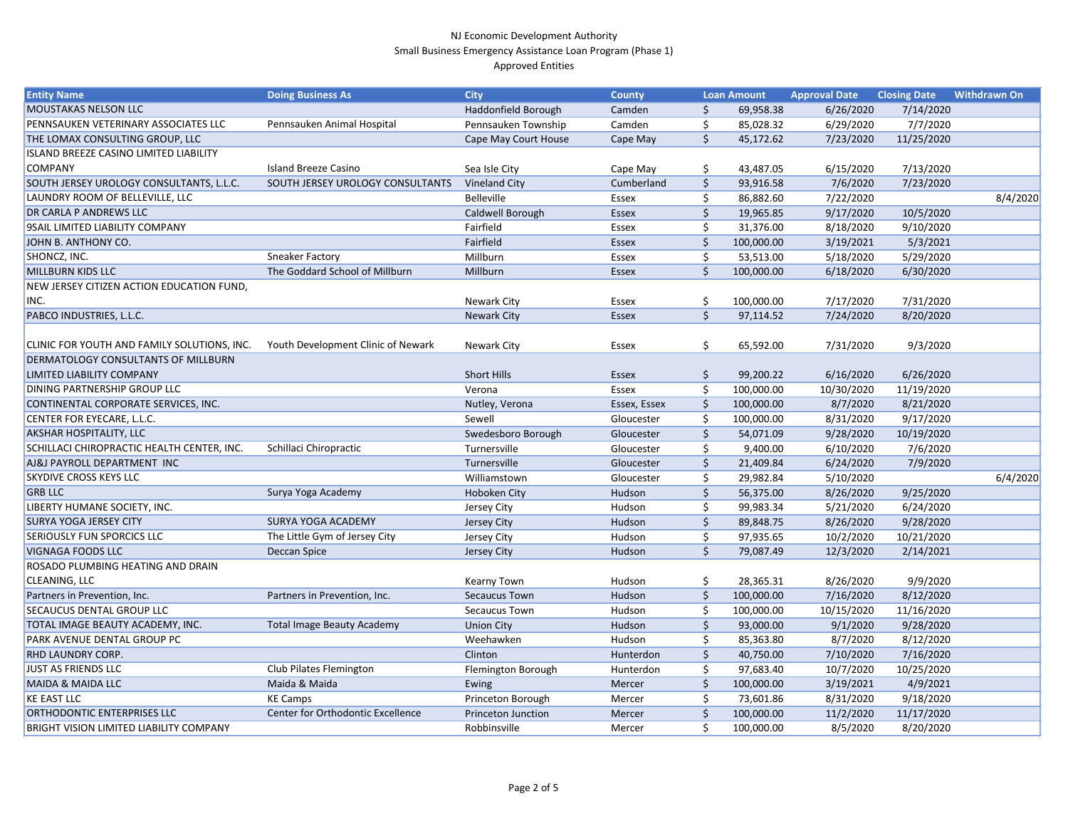| <b>MOUSTAKAS NELSON LLC</b><br>Haddonfield Borough<br>6/26/2020<br>7/14/2020<br>Camden<br>\$<br>69,958.38<br>PENNSAUKEN VETERINARY ASSOCIATES LLC<br>Pennsauken Animal Hospital<br>Pennsauken Township<br>\$<br>7/7/2020<br>Camden<br>85,028.32<br>6/29/2020<br>\$<br>THE LOMAX CONSULTING GROUP, LLC<br>Cape May Court House<br>45,172.62<br>7/23/2020<br>11/25/2020<br>Cape May<br><b>ISLAND BREEZE CASINO LIMITED LIABILITY</b><br><b>COMPANY</b><br><b>Island Breeze Casino</b><br>6/15/2020<br>7/13/2020<br>Sea Isle City<br>\$.<br>43,487.05<br>Cape May<br>\$<br><b>Vineland City</b><br>Cumberland<br>7/6/2020<br>7/23/2020<br>SOUTH JERSEY UROLOGY CONSULTANTS, L.L.C.<br>SOUTH JERSEY UROLOGY CONSULTANTS<br>93,916.58<br>8/4/2020<br>LAUNDRY ROOM OF BELLEVILLE, LLC<br>Belleville<br>7/22/2020<br>Ś<br>86,882.60<br>Essex |
|---------------------------------------------------------------------------------------------------------------------------------------------------------------------------------------------------------------------------------------------------------------------------------------------------------------------------------------------------------------------------------------------------------------------------------------------------------------------------------------------------------------------------------------------------------------------------------------------------------------------------------------------------------------------------------------------------------------------------------------------------------------------------------------------------------------------------------------|
|                                                                                                                                                                                                                                                                                                                                                                                                                                                                                                                                                                                                                                                                                                                                                                                                                                       |
|                                                                                                                                                                                                                                                                                                                                                                                                                                                                                                                                                                                                                                                                                                                                                                                                                                       |
|                                                                                                                                                                                                                                                                                                                                                                                                                                                                                                                                                                                                                                                                                                                                                                                                                                       |
|                                                                                                                                                                                                                                                                                                                                                                                                                                                                                                                                                                                                                                                                                                                                                                                                                                       |
|                                                                                                                                                                                                                                                                                                                                                                                                                                                                                                                                                                                                                                                                                                                                                                                                                                       |
|                                                                                                                                                                                                                                                                                                                                                                                                                                                                                                                                                                                                                                                                                                                                                                                                                                       |
|                                                                                                                                                                                                                                                                                                                                                                                                                                                                                                                                                                                                                                                                                                                                                                                                                                       |
| DR CARLA P ANDREWS LLC<br>9/17/2020<br>10/5/2020<br>Caldwell Borough<br>Essex<br>19,965.85                                                                                                                                                                                                                                                                                                                                                                                                                                                                                                                                                                                                                                                                                                                                            |
| <b>9SAIL LIMITED LIABILITY COMPANY</b><br>Fairfield<br>8/18/2020<br>9/10/2020<br>31,376.00<br>Essex                                                                                                                                                                                                                                                                                                                                                                                                                                                                                                                                                                                                                                                                                                                                   |
| JOHN B. ANTHONY CO.<br>Fairfield<br>100,000.00<br>3/19/2021<br>5/3/2021<br><b>Essex</b>                                                                                                                                                                                                                                                                                                                                                                                                                                                                                                                                                                                                                                                                                                                                               |
| SHONCZ, INC.<br><b>Sneaker Factory</b><br>Millburn<br>53,513.00<br>5/18/2020<br>5/29/2020<br>Essex                                                                                                                                                                                                                                                                                                                                                                                                                                                                                                                                                                                                                                                                                                                                    |
| <b>MILLBURN KIDS LLC</b><br>The Goddard School of Millburn<br>\$<br>Millburn<br>100,000.00<br>6/18/2020<br>6/30/2020<br>Essex                                                                                                                                                                                                                                                                                                                                                                                                                                                                                                                                                                                                                                                                                                         |
| NEW JERSEY CITIZEN ACTION EDUCATION FUND,                                                                                                                                                                                                                                                                                                                                                                                                                                                                                                                                                                                                                                                                                                                                                                                             |
| INC.<br>7/17/2020<br>7/31/2020<br><b>Newark City</b><br>100,000.00<br>Essex                                                                                                                                                                                                                                                                                                                                                                                                                                                                                                                                                                                                                                                                                                                                                           |
| \$<br>PABCO INDUSTRIES, L.L.C.<br>8/20/2020<br><b>Newark City</b><br>97,114.52<br>7/24/2020<br>Essex                                                                                                                                                                                                                                                                                                                                                                                                                                                                                                                                                                                                                                                                                                                                  |
|                                                                                                                                                                                                                                                                                                                                                                                                                                                                                                                                                                                                                                                                                                                                                                                                                                       |
| CLINIC FOR YOUTH AND FAMILY SOLUTIONS, INC.<br>Youth Development Clinic of Newark<br>\$.<br>65,592.00<br>7/31/2020<br>9/3/2020<br><b>Newark City</b><br>Essex                                                                                                                                                                                                                                                                                                                                                                                                                                                                                                                                                                                                                                                                         |
| <b>DERMATOLOGY CONSULTANTS OF MILLBURN</b>                                                                                                                                                                                                                                                                                                                                                                                                                                                                                                                                                                                                                                                                                                                                                                                            |
| <b>Short Hills</b><br>6/16/2020<br>6/26/2020<br><b>LIMITED LIABILITY COMPANY</b><br>\$<br>99,200.22<br>Essex                                                                                                                                                                                                                                                                                                                                                                                                                                                                                                                                                                                                                                                                                                                          |
| DINING PARTNERSHIP GROUP LLC<br>11/19/2020<br>100,000.00<br>10/30/2020<br>Verona<br>Essex                                                                                                                                                                                                                                                                                                                                                                                                                                                                                                                                                                                                                                                                                                                                             |
| CONTINENTAL CORPORATE SERVICES, INC.<br>100,000.00<br>8/7/2020<br>8/21/2020<br>Nutley, Verona<br>\$<br>Essex, Essex                                                                                                                                                                                                                                                                                                                                                                                                                                                                                                                                                                                                                                                                                                                   |
| CENTER FOR EYECARE, L.L.C.<br>9/17/2020<br>Sewell<br>\$<br>100,000.00<br>8/31/2020<br>Gloucester                                                                                                                                                                                                                                                                                                                                                                                                                                                                                                                                                                                                                                                                                                                                      |
| <b>AKSHAR HOSPITALITY, LLC</b><br>\$<br>Swedesboro Borough<br>9/28/2020<br>10/19/2020<br>Gloucester<br>54,071.09                                                                                                                                                                                                                                                                                                                                                                                                                                                                                                                                                                                                                                                                                                                      |
| SCHILLACI CHIROPRACTIC HEALTH CENTER, INC.<br>Schillaci Chiropractic<br>Turnersville<br>\$<br>6/10/2020<br>7/6/2020<br>9,400.00<br>Gloucester                                                                                                                                                                                                                                                                                                                                                                                                                                                                                                                                                                                                                                                                                         |
| AJ&J PAYROLL DEPARTMENT INC<br>Turnersville<br>\$<br>Gloucester<br>21,409.84<br>6/24/2020<br>7/9/2020                                                                                                                                                                                                                                                                                                                                                                                                                                                                                                                                                                                                                                                                                                                                 |
| 6/4/2020<br>\$<br>5/10/2020<br><b>SKYDIVE CROSS KEYS LLC</b><br>Williamstown<br>29,982.84<br>Gloucester                                                                                                                                                                                                                                                                                                                                                                                                                                                                                                                                                                                                                                                                                                                               |
| <b>GRB LLC</b><br>Surya Yoga Academy<br>8/26/2020<br>9/25/2020<br>Hoboken City<br>Hudson<br>56,375.00                                                                                                                                                                                                                                                                                                                                                                                                                                                                                                                                                                                                                                                                                                                                 |
| LIBERTY HUMANE SOCIETY, INC.<br>5/21/2020<br>6/24/2020<br>Jersey City<br>Hudson<br>99,983.34                                                                                                                                                                                                                                                                                                                                                                                                                                                                                                                                                                                                                                                                                                                                          |
| <b>SURYA YOGA JERSEY CITY</b><br><b>SURYA YOGA ACADEMY</b><br>Hudson<br>8/26/2020<br>9/28/2020<br>Jersey City<br>89,848.75                                                                                                                                                                                                                                                                                                                                                                                                                                                                                                                                                                                                                                                                                                            |
| <b>SERIOUSLY FUN SPORCICS LLC</b><br>The Little Gym of Jersey City<br>10/2/2020<br>10/21/2020<br>97,935.65<br>Jersey City<br>Hudson                                                                                                                                                                                                                                                                                                                                                                                                                                                                                                                                                                                                                                                                                                   |
| Hudson<br>\$<br>2/14/2021<br><b>VIGNAGA FOODS LLC</b><br>Deccan Spice<br>79,087.49<br>12/3/2020<br>Jersey City                                                                                                                                                                                                                                                                                                                                                                                                                                                                                                                                                                                                                                                                                                                        |
| ROSADO PLUMBING HEATING AND DRAIN                                                                                                                                                                                                                                                                                                                                                                                                                                                                                                                                                                                                                                                                                                                                                                                                     |
| <b>CLEANING, LLC</b><br>8/26/2020<br>9/9/2020<br>Kearny Town<br>28,365.31<br>Hudson<br>S                                                                                                                                                                                                                                                                                                                                                                                                                                                                                                                                                                                                                                                                                                                                              |
| Partners in Prevention, Inc.<br>Partners in Prevention, Inc.<br>Secaucus Town<br>7/16/2020<br>8/12/2020<br>Hudson<br>100,000.00                                                                                                                                                                                                                                                                                                                                                                                                                                                                                                                                                                                                                                                                                                       |
| <b>SECAUCUS DENTAL GROUP LLC</b><br>11/16/2020<br>Secaucus Town<br>Hudson<br>100,000.00<br>10/15/2020                                                                                                                                                                                                                                                                                                                                                                                                                                                                                                                                                                                                                                                                                                                                 |
| <b>Total Image Beauty Academy</b><br>TOTAL IMAGE BEAUTY ACADEMY, INC.<br><b>Union City</b><br>93,000.00<br>9/1/2020<br>9/28/2020<br>Hudson                                                                                                                                                                                                                                                                                                                                                                                                                                                                                                                                                                                                                                                                                            |
| PARK AVENUE DENTAL GROUP PC<br>Weehawken<br>8/12/2020<br>Hudson<br>8/7/2020<br>85,363.80                                                                                                                                                                                                                                                                                                                                                                                                                                                                                                                                                                                                                                                                                                                                              |
| Clinton<br>Hunterdon<br>7/10/2020<br>7/16/2020<br><b>RHD LAUNDRY CORP.</b><br>40,750.00                                                                                                                                                                                                                                                                                                                                                                                                                                                                                                                                                                                                                                                                                                                                               |
| Club Pilates Flemington<br><b>JUST AS FRIENDS LLC</b><br>10/7/2020<br>10/25/2020<br>Flemington Borough<br>Hunterdon<br>97,683.40<br>S                                                                                                                                                                                                                                                                                                                                                                                                                                                                                                                                                                                                                                                                                                 |
| <b>MAIDA &amp; MAIDA LLC</b><br>Maida & Maida<br>3/19/2021<br>4/9/2021<br>100,000.00<br>Ewing<br>Mercer                                                                                                                                                                                                                                                                                                                                                                                                                                                                                                                                                                                                                                                                                                                               |
| <b>KE EAST LLC</b><br><b>KE Camps</b><br>9/18/2020<br>Princeton Borough<br>73,601.86<br>8/31/2020<br>Mercer                                                                                                                                                                                                                                                                                                                                                                                                                                                                                                                                                                                                                                                                                                                           |
| ORTHODONTIC ENTERPRISES LLC<br>Center for Orthodontic Excellence<br>11/17/2020<br><b>Princeton Junction</b><br>100,000.00<br>11/2/2020<br>Mercer                                                                                                                                                                                                                                                                                                                                                                                                                                                                                                                                                                                                                                                                                      |
| <b>BRIGHT VISION LIMITED LIABILITY COMPANY</b><br>Robbinsville<br>8/5/2020<br>8/20/2020<br>100,000.00<br>Mercer<br>S                                                                                                                                                                                                                                                                                                                                                                                                                                                                                                                                                                                                                                                                                                                  |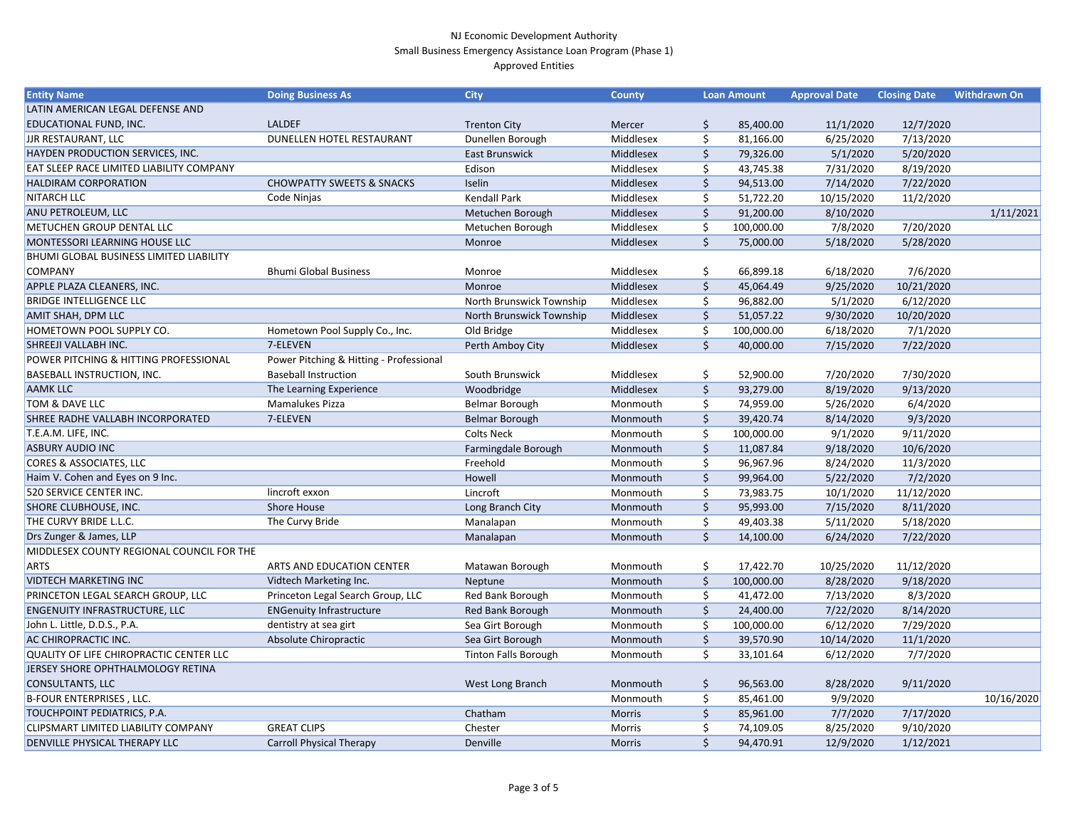| LATIN AMERICAN LEGAL DEFENSE AND<br>EDUCATIONAL FUND, INC.<br><b>LALDEF</b><br>12/7/2020<br>85,400.00<br>11/1/2020<br><b>Trenton City</b><br>Mercer<br>\$,<br><b>JJR RESTAURANT, LLC</b><br>DUNELLEN HOTEL RESTAURANT<br>Middlesex<br>\$<br>7/13/2020<br>Dunellen Borough<br>81,166.00<br>6/25/2020<br>HAYDEN PRODUCTION SERVICES, INC.<br>\$<br><b>East Brunswick</b><br>Middlesex<br>79,326.00<br>5/1/2020<br>5/20/2020<br><b>EAT SLEEP RACE LIMITED LIABILITY COMPANY</b><br>Middlesex<br>8/19/2020<br>Edison<br>\$<br>43,745.38<br>7/31/2020<br>\$<br>Middlesex<br>7/22/2020<br><b>HALDIRAM CORPORATION</b><br><b>CHOWPATTY SWEETS &amp; SNACKS</b><br>Iselin<br>94,513.00<br>7/14/2020<br>\$<br><b>NITARCH LLC</b><br><b>Kendall Park</b><br>Code Ninjas<br>Middlesex<br>10/15/2020<br>11/2/2020<br>51,722.20<br>\$<br>ANU PETROLEUM, LLC<br>8/10/2020<br>1/11/2021<br>Metuchen Borough<br>Middlesex<br>91,200.00<br><b>METUCHEN GROUP DENTAL LLC</b><br>7/20/2020<br>Metuchen Borough<br>Middlesex<br>\$<br>100,000.00<br>7/8/2020<br>$\zeta$<br>MONTESSORI LEARNING HOUSE LLC<br>5/28/2020<br>Middlesex<br>75,000.00<br>5/18/2020<br>Monroe<br>BHUMI GLOBAL BUSINESS LIMITED LIABILITY<br><b>Bhumi Global Business</b><br><b>COMPANY</b><br>7/6/2020<br>Middlesex<br>\$<br>66,899.18<br>6/18/2020<br>Monroe<br>\$<br>Middlesex<br>9/25/2020<br>10/21/2020<br>APPLE PLAZA CLEANERS, INC.<br>45,064.49<br>Monroe<br>\$<br><b>BRIDGE INTELLIGENCE LLC</b><br>North Brunswick Township<br>Middlesex<br>96,882.00<br>5/1/2020<br>6/12/2020<br>\$<br><b>AMIT SHAH, DPM LLC</b><br>North Brunswick Township<br>10/20/2020<br>Middlesex<br>51,057.22<br>9/30/2020<br>HOMETOWN POOL SUPPLY CO.<br>Hometown Pool Supply Co., Inc.<br>Old Bridge<br>Middlesex<br>6/18/2020<br>7/1/2020<br>\$<br>100,000.00<br>$\zeta$<br>SHREEJI VALLABH INC.<br>7-ELEVEN<br>Middlesex<br>40,000.00<br>7/22/2020 |
|----------------------------------------------------------------------------------------------------------------------------------------------------------------------------------------------------------------------------------------------------------------------------------------------------------------------------------------------------------------------------------------------------------------------------------------------------------------------------------------------------------------------------------------------------------------------------------------------------------------------------------------------------------------------------------------------------------------------------------------------------------------------------------------------------------------------------------------------------------------------------------------------------------------------------------------------------------------------------------------------------------------------------------------------------------------------------------------------------------------------------------------------------------------------------------------------------------------------------------------------------------------------------------------------------------------------------------------------------------------------------------------------------------------------------------------------------------------------------------------------------------------------------------------------------------------------------------------------------------------------------------------------------------------------------------------------------------------------------------------------------------------------------------------------------------------------------------------------------------------------------------------------|
|                                                                                                                                                                                                                                                                                                                                                                                                                                                                                                                                                                                                                                                                                                                                                                                                                                                                                                                                                                                                                                                                                                                                                                                                                                                                                                                                                                                                                                                                                                                                                                                                                                                                                                                                                                                                                                                                                              |
|                                                                                                                                                                                                                                                                                                                                                                                                                                                                                                                                                                                                                                                                                                                                                                                                                                                                                                                                                                                                                                                                                                                                                                                                                                                                                                                                                                                                                                                                                                                                                                                                                                                                                                                                                                                                                                                                                              |
|                                                                                                                                                                                                                                                                                                                                                                                                                                                                                                                                                                                                                                                                                                                                                                                                                                                                                                                                                                                                                                                                                                                                                                                                                                                                                                                                                                                                                                                                                                                                                                                                                                                                                                                                                                                                                                                                                              |
|                                                                                                                                                                                                                                                                                                                                                                                                                                                                                                                                                                                                                                                                                                                                                                                                                                                                                                                                                                                                                                                                                                                                                                                                                                                                                                                                                                                                                                                                                                                                                                                                                                                                                                                                                                                                                                                                                              |
|                                                                                                                                                                                                                                                                                                                                                                                                                                                                                                                                                                                                                                                                                                                                                                                                                                                                                                                                                                                                                                                                                                                                                                                                                                                                                                                                                                                                                                                                                                                                                                                                                                                                                                                                                                                                                                                                                              |
|                                                                                                                                                                                                                                                                                                                                                                                                                                                                                                                                                                                                                                                                                                                                                                                                                                                                                                                                                                                                                                                                                                                                                                                                                                                                                                                                                                                                                                                                                                                                                                                                                                                                                                                                                                                                                                                                                              |
|                                                                                                                                                                                                                                                                                                                                                                                                                                                                                                                                                                                                                                                                                                                                                                                                                                                                                                                                                                                                                                                                                                                                                                                                                                                                                                                                                                                                                                                                                                                                                                                                                                                                                                                                                                                                                                                                                              |
|                                                                                                                                                                                                                                                                                                                                                                                                                                                                                                                                                                                                                                                                                                                                                                                                                                                                                                                                                                                                                                                                                                                                                                                                                                                                                                                                                                                                                                                                                                                                                                                                                                                                                                                                                                                                                                                                                              |
|                                                                                                                                                                                                                                                                                                                                                                                                                                                                                                                                                                                                                                                                                                                                                                                                                                                                                                                                                                                                                                                                                                                                                                                                                                                                                                                                                                                                                                                                                                                                                                                                                                                                                                                                                                                                                                                                                              |
|                                                                                                                                                                                                                                                                                                                                                                                                                                                                                                                                                                                                                                                                                                                                                                                                                                                                                                                                                                                                                                                                                                                                                                                                                                                                                                                                                                                                                                                                                                                                                                                                                                                                                                                                                                                                                                                                                              |
|                                                                                                                                                                                                                                                                                                                                                                                                                                                                                                                                                                                                                                                                                                                                                                                                                                                                                                                                                                                                                                                                                                                                                                                                                                                                                                                                                                                                                                                                                                                                                                                                                                                                                                                                                                                                                                                                                              |
|                                                                                                                                                                                                                                                                                                                                                                                                                                                                                                                                                                                                                                                                                                                                                                                                                                                                                                                                                                                                                                                                                                                                                                                                                                                                                                                                                                                                                                                                                                                                                                                                                                                                                                                                                                                                                                                                                              |
|                                                                                                                                                                                                                                                                                                                                                                                                                                                                                                                                                                                                                                                                                                                                                                                                                                                                                                                                                                                                                                                                                                                                                                                                                                                                                                                                                                                                                                                                                                                                                                                                                                                                                                                                                                                                                                                                                              |
|                                                                                                                                                                                                                                                                                                                                                                                                                                                                                                                                                                                                                                                                                                                                                                                                                                                                                                                                                                                                                                                                                                                                                                                                                                                                                                                                                                                                                                                                                                                                                                                                                                                                                                                                                                                                                                                                                              |
|                                                                                                                                                                                                                                                                                                                                                                                                                                                                                                                                                                                                                                                                                                                                                                                                                                                                                                                                                                                                                                                                                                                                                                                                                                                                                                                                                                                                                                                                                                                                                                                                                                                                                                                                                                                                                                                                                              |
|                                                                                                                                                                                                                                                                                                                                                                                                                                                                                                                                                                                                                                                                                                                                                                                                                                                                                                                                                                                                                                                                                                                                                                                                                                                                                                                                                                                                                                                                                                                                                                                                                                                                                                                                                                                                                                                                                              |
| Perth Amboy City<br>7/15/2020                                                                                                                                                                                                                                                                                                                                                                                                                                                                                                                                                                                                                                                                                                                                                                                                                                                                                                                                                                                                                                                                                                                                                                                                                                                                                                                                                                                                                                                                                                                                                                                                                                                                                                                                                                                                                                                                |
| POWER PITCHING & HITTING PROFESSIONAL<br>Power Pitching & Hitting - Professional                                                                                                                                                                                                                                                                                                                                                                                                                                                                                                                                                                                                                                                                                                                                                                                                                                                                                                                                                                                                                                                                                                                                                                                                                                                                                                                                                                                                                                                                                                                                                                                                                                                                                                                                                                                                             |
| 7/30/2020<br><b>BASEBALL INSTRUCTION, INC.</b><br><b>Baseball Instruction</b><br>South Brunswick<br>Middlesex<br>52,900.00<br>7/20/2020<br>\$                                                                                                                                                                                                                                                                                                                                                                                                                                                                                                                                                                                                                                                                                                                                                                                                                                                                                                                                                                                                                                                                                                                                                                                                                                                                                                                                                                                                                                                                                                                                                                                                                                                                                                                                                |
| <b>AAMK LLC</b><br>\$<br>9/13/2020<br>The Learning Experience<br>Middlesex<br>93,279.00<br>8/19/2020<br>Woodbridge                                                                                                                                                                                                                                                                                                                                                                                                                                                                                                                                                                                                                                                                                                                                                                                                                                                                                                                                                                                                                                                                                                                                                                                                                                                                                                                                                                                                                                                                                                                                                                                                                                                                                                                                                                           |
| TOM & DAVE LLC<br>\$<br><b>Mamalukes Pizza</b><br>Belmar Borough<br>5/26/2020<br>6/4/2020<br>Monmouth<br>74,959.00                                                                                                                                                                                                                                                                                                                                                                                                                                                                                                                                                                                                                                                                                                                                                                                                                                                                                                                                                                                                                                                                                                                                                                                                                                                                                                                                                                                                                                                                                                                                                                                                                                                                                                                                                                           |
| \$<br><b>SHREE RADHE VALLABH INCORPORATED</b><br>7-ELEVEN<br>9/3/2020<br><b>Belmar Borough</b><br>39,420.74<br>8/14/2020<br>Monmouth                                                                                                                                                                                                                                                                                                                                                                                                                                                                                                                                                                                                                                                                                                                                                                                                                                                                                                                                                                                                                                                                                                                                                                                                                                                                                                                                                                                                                                                                                                                                                                                                                                                                                                                                                         |
| 9/11/2020<br>T.E.A.M. LIFE, INC.<br><b>Colts Neck</b><br>\$<br>9/1/2020<br>100,000.00<br>Monmouth                                                                                                                                                                                                                                                                                                                                                                                                                                                                                                                                                                                                                                                                                                                                                                                                                                                                                                                                                                                                                                                                                                                                                                                                                                                                                                                                                                                                                                                                                                                                                                                                                                                                                                                                                                                            |
| \$<br><b>ASBURY AUDIO INC</b><br>10/6/2020<br>Farmingdale Borough<br>11,087.84<br>9/18/2020<br>Monmouth                                                                                                                                                                                                                                                                                                                                                                                                                                                                                                                                                                                                                                                                                                                                                                                                                                                                                                                                                                                                                                                                                                                                                                                                                                                                                                                                                                                                                                                                                                                                                                                                                                                                                                                                                                                      |
| <b>CORES &amp; ASSOCIATES, LLC</b><br>Freehold<br>\$<br>96,967.96<br>11/3/2020<br>Monmouth<br>8/24/2020                                                                                                                                                                                                                                                                                                                                                                                                                                                                                                                                                                                                                                                                                                                                                                                                                                                                                                                                                                                                                                                                                                                                                                                                                                                                                                                                                                                                                                                                                                                                                                                                                                                                                                                                                                                      |
| \$<br>Haim V. Cohen and Eyes on 9 Inc.<br>7/2/2020<br>Howell<br>99,964.00<br>5/22/2020<br>Monmouth                                                                                                                                                                                                                                                                                                                                                                                                                                                                                                                                                                                                                                                                                                                                                                                                                                                                                                                                                                                                                                                                                                                                                                                                                                                                                                                                                                                                                                                                                                                                                                                                                                                                                                                                                                                           |
| 520 SERVICE CENTER INC.<br>lincroft exxon<br>\$<br>11/12/2020<br>Lincroft<br>10/1/2020<br>Monmouth<br>73,983.75                                                                                                                                                                                                                                                                                                                                                                                                                                                                                                                                                                                                                                                                                                                                                                                                                                                                                                                                                                                                                                                                                                                                                                                                                                                                                                                                                                                                                                                                                                                                                                                                                                                                                                                                                                              |
| \$<br><b>SHORE CLUBHOUSE, INC.</b><br><b>Shore House</b><br>Long Branch City<br>7/15/2020<br>8/11/2020<br>Monmouth<br>95,993.00                                                                                                                                                                                                                                                                                                                                                                                                                                                                                                                                                                                                                                                                                                                                                                                                                                                                                                                                                                                                                                                                                                                                                                                                                                                                                                                                                                                                                                                                                                                                                                                                                                                                                                                                                              |
| THE CURVY BRIDE L.L.C.<br>5/18/2020<br>The Curvy Bride<br>5/11/2020<br>Manalapan<br>49,403.38<br>Monmouth                                                                                                                                                                                                                                                                                                                                                                                                                                                                                                                                                                                                                                                                                                                                                                                                                                                                                                                                                                                                                                                                                                                                                                                                                                                                                                                                                                                                                                                                                                                                                                                                                                                                                                                                                                                    |
| Drs Zunger & James, LLP<br>6/24/2020<br>7/22/2020<br>Manalapan<br>14,100.00<br>Monmouth                                                                                                                                                                                                                                                                                                                                                                                                                                                                                                                                                                                                                                                                                                                                                                                                                                                                                                                                                                                                                                                                                                                                                                                                                                                                                                                                                                                                                                                                                                                                                                                                                                                                                                                                                                                                      |
| MIDDLESEX COUNTY REGIONAL COUNCIL FOR THE                                                                                                                                                                                                                                                                                                                                                                                                                                                                                                                                                                                                                                                                                                                                                                                                                                                                                                                                                                                                                                                                                                                                                                                                                                                                                                                                                                                                                                                                                                                                                                                                                                                                                                                                                                                                                                                    |
| 17,422.70<br>10/25/2020<br>11/12/2020<br><b>ARTS</b><br>ARTS AND EDUCATION CENTER<br>Matawan Borough<br>Monmouth<br>Ş.                                                                                                                                                                                                                                                                                                                                                                                                                                                                                                                                                                                                                                                                                                                                                                                                                                                                                                                                                                                                                                                                                                                                                                                                                                                                                                                                                                                                                                                                                                                                                                                                                                                                                                                                                                       |
| <b>VIDTECH MARKETING INC</b><br>Vidtech Marketing Inc.<br>\$<br>9/18/2020<br>Monmouth<br>100,000.00<br>8/28/2020<br>Neptune                                                                                                                                                                                                                                                                                                                                                                                                                                                                                                                                                                                                                                                                                                                                                                                                                                                                                                                                                                                                                                                                                                                                                                                                                                                                                                                                                                                                                                                                                                                                                                                                                                                                                                                                                                  |
| PRINCETON LEGAL SEARCH GROUP, LLC<br>Princeton Legal Search Group, LLC<br>Red Bank Borough<br>7/13/2020<br>8/3/2020<br>Monmouth<br>\$<br>41,472.00                                                                                                                                                                                                                                                                                                                                                                                                                                                                                                                                                                                                                                                                                                                                                                                                                                                                                                                                                                                                                                                                                                                                                                                                                                                                                                                                                                                                                                                                                                                                                                                                                                                                                                                                           |
| <b>ENGENUITY INFRASTRUCTURE, LLC</b><br><b>ENGenuity Infrastructure</b><br>\$<br>8/14/2020<br>Red Bank Borough<br>Monmouth<br>24,400.00<br>7/22/2020                                                                                                                                                                                                                                                                                                                                                                                                                                                                                                                                                                                                                                                                                                                                                                                                                                                                                                                                                                                                                                                                                                                                                                                                                                                                                                                                                                                                                                                                                                                                                                                                                                                                                                                                         |
| John L. Little, D.D.S., P.A.<br>dentistry at sea girt<br>Sea Girt Borough<br>\$<br>100,000.00<br>6/12/2020<br>7/29/2020<br>Monmouth                                                                                                                                                                                                                                                                                                                                                                                                                                                                                                                                                                                                                                                                                                                                                                                                                                                                                                                                                                                                                                                                                                                                                                                                                                                                                                                                                                                                                                                                                                                                                                                                                                                                                                                                                          |
| Absolute Chiropractic<br><b>AC CHIROPRACTIC INC.</b><br>Sea Girt Borough<br>\$<br>10/14/2020<br>11/1/2020<br>Monmouth<br>39,570.90                                                                                                                                                                                                                                                                                                                                                                                                                                                                                                                                                                                                                                                                                                                                                                                                                                                                                                                                                                                                                                                                                                                                                                                                                                                                                                                                                                                                                                                                                                                                                                                                                                                                                                                                                           |
| \$<br>QUALITY OF LIFE CHIROPRACTIC CENTER LLC<br><b>Tinton Falls Borough</b><br>6/12/2020<br>7/7/2020<br>33,101.64<br>Monmouth                                                                                                                                                                                                                                                                                                                                                                                                                                                                                                                                                                                                                                                                                                                                                                                                                                                                                                                                                                                                                                                                                                                                                                                                                                                                                                                                                                                                                                                                                                                                                                                                                                                                                                                                                               |
| JERSEY SHORE OPHTHALMOLOGY RETINA                                                                                                                                                                                                                                                                                                                                                                                                                                                                                                                                                                                                                                                                                                                                                                                                                                                                                                                                                                                                                                                                                                                                                                                                                                                                                                                                                                                                                                                                                                                                                                                                                                                                                                                                                                                                                                                            |
| <b>CONSULTANTS, LLC</b><br>West Long Branch<br>9/11/2020<br>Monmouth<br>96,563.00<br>8/28/2020<br>Ş                                                                                                                                                                                                                                                                                                                                                                                                                                                                                                                                                                                                                                                                                                                                                                                                                                                                                                                                                                                                                                                                                                                                                                                                                                                                                                                                                                                                                                                                                                                                                                                                                                                                                                                                                                                          |
| B-FOUR ENTERPRISES, LLC.<br>10/16/2020<br>Monmouth<br>\$<br>85,461.00<br>9/9/2020                                                                                                                                                                                                                                                                                                                                                                                                                                                                                                                                                                                                                                                                                                                                                                                                                                                                                                                                                                                                                                                                                                                                                                                                                                                                                                                                                                                                                                                                                                                                                                                                                                                                                                                                                                                                            |
| TOUCHPOINT PEDIATRICS, P.A.<br>\$<br>7/7/2020<br>7/17/2020<br>Chatham<br>85,961.00<br>Morris                                                                                                                                                                                                                                                                                                                                                                                                                                                                                                                                                                                                                                                                                                                                                                                                                                                                                                                                                                                                                                                                                                                                                                                                                                                                                                                                                                                                                                                                                                                                                                                                                                                                                                                                                                                                 |
| CLIPSMART LIMITED LIABILITY COMPANY<br><b>GREAT CLIPS</b><br>9/10/2020<br>8/25/2020<br>Chester<br>Morris<br>74,109.05                                                                                                                                                                                                                                                                                                                                                                                                                                                                                                                                                                                                                                                                                                                                                                                                                                                                                                                                                                                                                                                                                                                                                                                                                                                                                                                                                                                                                                                                                                                                                                                                                                                                                                                                                                        |
| <b>Carroll Physical Therapy</b><br>DENVILLE PHYSICAL THERAPY LLC<br>Denville<br>\$<br>12/9/2020<br>1/12/2021<br>Morris<br>94,470.91                                                                                                                                                                                                                                                                                                                                                                                                                                                                                                                                                                                                                                                                                                                                                                                                                                                                                                                                                                                                                                                                                                                                                                                                                                                                                                                                                                                                                                                                                                                                                                                                                                                                                                                                                          |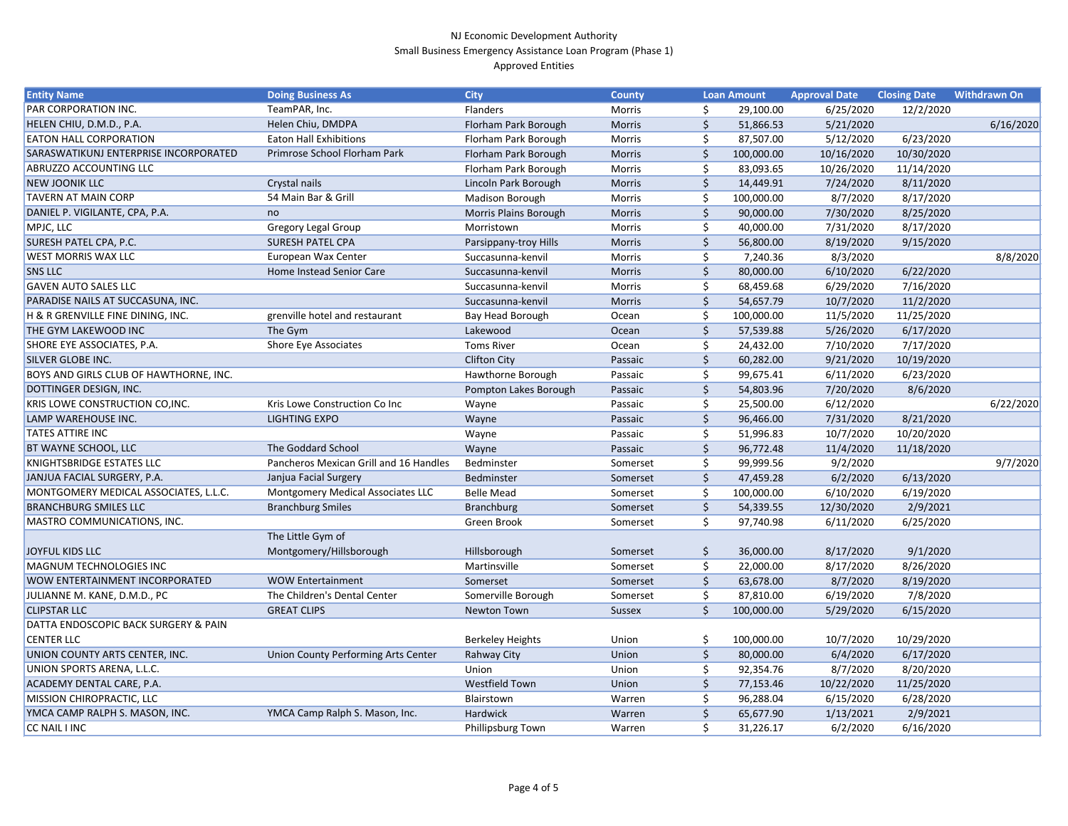| <b>Entity Name</b>                     | <b>Doing Business As</b>               | <b>City</b>             | <b>County</b> |         | <b>Loan Amount</b> | <b>Approval Date</b> | <b>Closing Date</b> | <b>Withdrawn On</b> |
|----------------------------------------|----------------------------------------|-------------------------|---------------|---------|--------------------|----------------------|---------------------|---------------------|
| PAR CORPORATION INC.                   | TeamPAR, Inc.                          | Flanders                | Morris        |         | 29,100.00          | 6/25/2020            | 12/2/2020           |                     |
| HELEN CHIU, D.M.D., P.A.               | Helen Chiu, DMDPA                      | Florham Park Borough    | Morris        | \$      | 51,866.53          | 5/21/2020            |                     | 6/16/2020           |
| EATON HALL CORPORATION                 | <b>Eaton Hall Exhibitions</b>          | Florham Park Borough    | Morris        | Ŝ.      | 87,507.00          | 5/12/2020            | 6/23/2020           |                     |
| SARASWATIKUNJ ENTERPRISE INCORPORATED  | Primrose School Florham Park           | Florham Park Borough    | <b>Morris</b> |         | 100,000.00         | 10/16/2020           | 10/30/2020          |                     |
| ABRUZZO ACCOUNTING LLC                 |                                        | Florham Park Borough    | Morris        |         | 83,093.65          | 10/26/2020           | 11/14/2020          |                     |
| <b>NEW JOONIK LLC</b>                  | Crystal nails                          | Lincoln Park Borough    | Morris        | $\zeta$ | 14,449.91          | 7/24/2020            | 8/11/2020           |                     |
| <b>TAVERN AT MAIN CORP</b>             | 54 Main Bar & Grill                    | Madison Borough         | Morris        |         | 100,000.00         | 8/7/2020             | 8/17/2020           |                     |
| DANIEL P. VIGILANTE, CPA, P.A.         | no                                     | Morris Plains Borough   | Morris        |         | 90,000.00          | 7/30/2020            | 8/25/2020           |                     |
| MPJC, LLC                              | <b>Gregory Legal Group</b>             | Morristown              | Morris        |         | 40,000.00          | 7/31/2020            | 8/17/2020           |                     |
| <b>SURESH PATEL CPA, P.C.</b>          | <b>SURESH PATEL CPA</b>                | Parsippany-troy Hills   | <b>Morris</b> | $\zeta$ | 56,800.00          | 8/19/2020            | 9/15/2020           |                     |
| <b>WEST MORRIS WAX LLC</b>             | European Wax Center                    | Succasunna-kenvil       | Morris        |         | 7,240.36           | 8/3/2020             |                     | 8/8/2020            |
| <b>SNS LLC</b>                         | Home Instead Senior Care               | Succasunna-kenvil       | <b>Morris</b> | Ś       | 80,000.00          | 6/10/2020            | 6/22/2020           |                     |
| <b>GAVEN AUTO SALES LLC</b>            |                                        | Succasunna-kenvil       | Morris        |         | 68,459.68          | 6/29/2020            | 7/16/2020           |                     |
| PARADISE NAILS AT SUCCASUNA, INC.      |                                        | Succasunna-kenvil       | <b>Morris</b> | \$      | 54,657.79          | 10/7/2020            | 11/2/2020           |                     |
| H & R GRENVILLE FINE DINING, INC.      | grenville hotel and restaurant         | Bay Head Borough        | Ocean         |         | 100,000.00         | 11/5/2020            | 11/25/2020          |                     |
| THE GYM LAKEWOOD INC                   | The Gym                                | Lakewood                | Ocean         |         | 57,539.88          | 5/26/2020            | 6/17/2020           |                     |
| SHORE EYE ASSOCIATES, P.A.             | <b>Shore Eye Associates</b>            | <b>Toms River</b>       | Ocean         |         | 24,432.00          | 7/10/2020            | 7/17/2020           |                     |
| <b>SILVER GLOBE INC.</b>               |                                        | <b>Clifton City</b>     | Passaic       |         | 60,282.00          | 9/21/2020            | 10/19/2020          |                     |
| BOYS AND GIRLS CLUB OF HAWTHORNE, INC. |                                        | Hawthorne Borough       | Passaic       |         | 99,675.41          | 6/11/2020            | 6/23/2020           |                     |
| DOTTINGER DESIGN, INC.                 |                                        | Pompton Lakes Borough   | Passaic       | $\zeta$ | 54,803.96          | 7/20/2020            | 8/6/2020            |                     |
| KRIS LOWE CONSTRUCTION CO, INC.        | Kris Lowe Construction Co Inc          | Wayne                   | Passaic       |         | 25,500.00          | 6/12/2020            |                     | 6/22/2020           |
| LAMP WAREHOUSE INC.                    | <b>LIGHTING EXPO</b>                   | Wayne                   | Passaic       | $\zeta$ | 96,466.00          | 7/31/2020            | 8/21/2020           |                     |
| <b>TATES ATTIRE INC</b>                |                                        | Wayne                   | Passaic       |         | 51,996.83          | 10/7/2020            | 10/20/2020          |                     |
| BT WAYNE SCHOOL, LLC                   | The Goddard School                     | Wayne                   | Passaic       | \$      | 96,772.48          | 11/4/2020            | 11/18/2020          |                     |
| KNIGHTSBRIDGE ESTATES LLC              | Pancheros Mexican Grill and 16 Handles | Bedminster              | Somerset      | \$      | 99,999.56          | 9/2/2020             |                     | 9/7/2020            |
| JANJUA FACIAL SURGERY, P.A.            | Janjua Facial Surgery                  | Bedminster              | Somerset      | \$      | 47,459.28          | 6/2/2020             | 6/13/2020           |                     |
| MONTGOMERY MEDICAL ASSOCIATES, L.L.C.  | Montgomery Medical Associates LLC      | <b>Belle Mead</b>       | Somerset      |         | 100,000.00         | 6/10/2020            | 6/19/2020           |                     |
| <b>BRANCHBURG SMILES LLC</b>           | <b>Branchburg Smiles</b>               | Branchburg              | Somerset      | \$      | 54,339.55          | 12/30/2020           | 2/9/2021            |                     |
| MASTRO COMMUNICATIONS, INC.            |                                        | Green Brook             | Somerset      | \$      | 97,740.98          | 6/11/2020            | 6/25/2020           |                     |
|                                        | The Little Gym of                      |                         |               |         |                    |                      |                     |                     |
| <b>JOYFUL KIDS LLC</b>                 | Montgomery/Hillsborough                | Hillsborough            | Somerset      | \$      | 36,000.00          | 8/17/2020            | 9/1/2020            |                     |
| MAGNUM TECHNOLOGIES INC                |                                        | Martinsville            | Somerset      | \$      | 22,000.00          | 8/17/2020            | 8/26/2020           |                     |
| WOW ENTERTAINMENT INCORPORATED         | <b>WOW Entertainment</b>               | Somerset                | Somerset      | \$      | 63,678.00          | 8/7/2020             | 8/19/2020           |                     |
| JULIANNE M. KANE, D.M.D., PC           | The Children's Dental Center           | Somerville Borough      | Somerset      | \$      | 87,810.00          | 6/19/2020            | 7/8/2020            |                     |
| <b>CLIPSTAR LLC</b>                    | <b>GREAT CLIPS</b>                     | Newton Town             | <b>Sussex</b> | \$      | 100,000.00         | 5/29/2020            | 6/15/2020           |                     |
| DATTA ENDOSCOPIC BACK SURGERY & PAIN   |                                        |                         |               |         |                    |                      |                     |                     |
| <b>CENTER LLC</b>                      |                                        | <b>Berkeley Heights</b> | Union         | S       | 100,000.00         | 10/7/2020            | 10/29/2020          |                     |
| UNION COUNTY ARTS CENTER, INC.         | Union County Performing Arts Center    | Rahway City             | Union         | \$      | 80,000.00          | 6/4/2020             | 6/17/2020           |                     |
| UNION SPORTS ARENA, L.L.C.             |                                        | Union                   | Union         |         | 92,354.76          | 8/7/2020             | 8/20/2020           |                     |
| ACADEMY DENTAL CARE, P.A.              |                                        | Westfield Town          | Union         | S.      | 77,153.46          | 10/22/2020           | 11/25/2020          |                     |
| MISSION CHIROPRACTIC, LLC              |                                        | Blairstown              | Warren        |         | 96,288.04          | 6/15/2020            | 6/28/2020           |                     |
| YMCA CAMP RALPH S. MASON, INC.         | YMCA Camp Ralph S. Mason, Inc.         | Hardwick                | Warren        | \$      | 65,677.90          | 1/13/2021            | 2/9/2021            |                     |
| CC NAIL I INC                          |                                        | Phillipsburg Town       | Warren        | \$      | 31,226.17          | 6/2/2020             | 6/16/2020           |                     |
|                                        |                                        |                         |               |         |                    |                      |                     |                     |